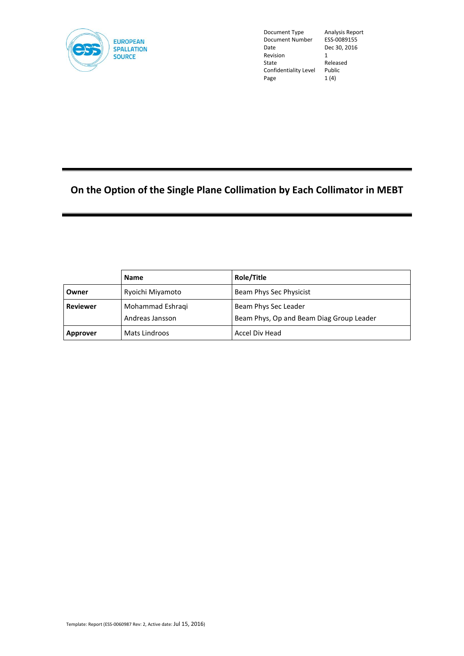

Document Type Analysis Report<br>Document Number ESS-0089155 Document Number<br>Date Revision<br>State Confidentiality Level Public<br>Page 1 (4) Page

Dec 30, 2016<br>1 Released<br>Public

# **On the Option of the Single Plane Collimation by Each Collimator in MEBT**

|                 | <b>Name</b>                         | Role/Title                                                       |  |
|-----------------|-------------------------------------|------------------------------------------------------------------|--|
| Owner           | Ryoichi Miyamoto                    | Beam Phys Sec Physicist                                          |  |
| <b>Reviewer</b> | Mohammad Eshraqi<br>Andreas Jansson | Beam Phys Sec Leader<br>Beam Phys, Op and Beam Diag Group Leader |  |
| Approver        | Mats Lindroos                       | Accel Div Head                                                   |  |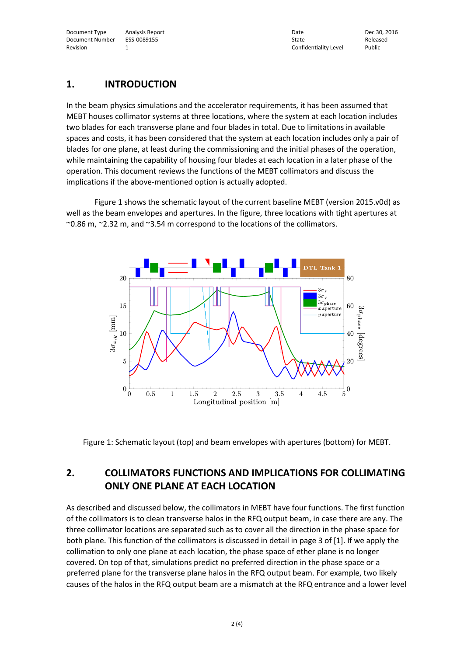Document Type Analysis Report Date Dec 30, 2016 Document Number ESS-0089155 State Released ESS-0089155 State State Released Revision 1 2008 1 2009 1 2009 1 2009 1 2009 1 2009 1 2009 1 2009 2 2009 2 2009 2 2009 2 2009 2 2009 2 2009 2 2009 2 2009 2 2009 2 2009 2 2009 2 2009 2 2009 2 2009 2 2009 2 2009 2 2009 2 2009 2 2009 2 2009 2 2009 2 2009 2 2

### **1. INTRODUCTION**

In the beam physics simulations and the accelerator requirements, it has been assumed that MEBT houses collimator systems at three locations, where the system at each location includes two blades for each transverse plane and four blades in total. Due to limitations in available spaces and costs, it has been considered that the system at each location includes only a pair of blades for one plane, at least during the commissioning and the initial phases of the operation, while maintaining the capability of housing four blades at each location in a later phase of the operation. This document reviews the functions of the MEBT collimators and discuss the implications if the above-mentioned option is actually adopted.

Figure 1 shows the schematic layout of the current baseline MEBT (version 2015.v0d) as well as the beam envelopes and apertures. In the figure, three locations with tight apertures at  $\sim$  0.86 m,  $\sim$  2.32 m, and  $\sim$  3.54 m correspond to the locations of the collimators.



Figure 1: Schematic layout (top) and beam envelopes with apertures (bottom) for MEBT.

## **2. COLLIMATORS FUNCTIONS AND IMPLICATIONS FOR COLLIMATING ONLY ONE PLANE AT EACH LOCATION**

As described and discussed below, the collimators in MEBT have four functions. The first function of the collimators is to clean transverse halos in the RFQ output beam, in case there are any. The three collimator locations are separated such as to cover all the direction in the phase space for both plane. This function of the collimators is discussed in detail in page 3 of [1]. If we apply the collimation to only one plane at each location, the phase space of ether plane is no longer covered. On top of that, simulations predict no preferred direction in the phase space or a preferred plane for the transverse plane halos in the RFQ output beam. For example, two likely causes of the halos in the RFQ output beam are a mismatch at the RFQ entrance and a lower level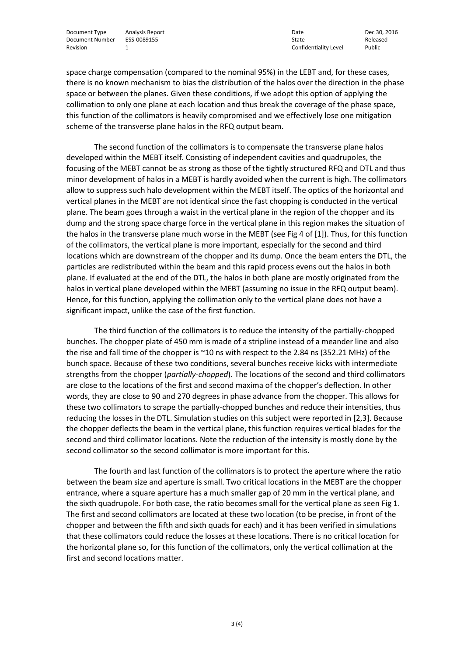Document Type Analysis Report Date Dec 30, 2016 Document Number ESS-0089155 State State Released Revision Confidentiality Level Public Released Revision 2014

1 Confidentiality Level

space charge compensation (compared to the nominal 95%) in the LEBT and, for these cases, there is no known mechanism to bias the distribution of the halos over the direction in the phase space or between the planes. Given these conditions, if we adopt this option of applying the collimation to only one plane at each location and thus break the coverage of the phase space, this function of the collimators is heavily compromised and we effectively lose one mitigation scheme of the transverse plane halos in the RFQ output beam.

The second function of the collimators is to compensate the transverse plane halos developed within the MEBT itself. Consisting of independent cavities and quadrupoles, the focusing of the MEBT cannot be as strong as those of the tightly structured RFQ and DTL and thus minor development of halos in a MEBT is hardly avoided when the current is high. The collimators allow to suppress such halo development within the MEBT itself. The optics of the horizontal and vertical planes in the MEBT are not identical since the fast chopping is conducted in the vertical plane. The beam goes through a waist in the vertical plane in the region of the chopper and its dump and the strong space charge force in the vertical plane in this region makes the situation of the halos in the transverse plane much worse in the MEBT (see Fig 4 of [1]). Thus, for this function of the collimators, the vertical plane is more important, especially for the second and third locations which are downstream of the chopper and its dump. Once the beam enters the DTL, the particles are redistributed within the beam and this rapid process evens out the halos in both plane. If evaluated at the end of the DTL, the halos in both plane are mostly originated from the halos in vertical plane developed within the MEBT (assuming no issue in the RFQ output beam). Hence, for this function, applying the collimation only to the vertical plane does not have a significant impact, unlike the case of the first function.

The third function of the collimators is to reduce the intensity of the partially-chopped bunches. The chopper plate of 450 mm is made of a stripline instead of a meander line and also the rise and fall time of the chopper is ~10 ns with respect to the 2.84 ns (352.21 MHz) of the bunch space. Because of these two conditions, several bunches receive kicks with intermediate strengths from the chopper (*partially-chopped*). The locations of the second and third collimators are close to the locations of the first and second maxima of the chopper's deflection. In other words, they are close to 90 and 270 degrees in phase advance from the chopper. This allows for these two collimators to scrape the partially-chopped bunches and reduce their intensities, thus reducing the losses in the DTL. Simulation studies on this subject were reported in [2,3]. Because the chopper deflects the beam in the vertical plane, this function requires vertical blades for the second and third collimator locations. Note the reduction of the intensity is mostly done by the second collimator so the second collimator is more important for this.

The fourth and last function of the collimators is to protect the aperture where the ratio between the beam size and aperture is small. Two critical locations in the MEBT are the chopper entrance, where a square aperture has a much smaller gap of 20 mm in the vertical plane, and the sixth quadrupole. For both case, the ratio becomes small for the vertical plane as seen Fig 1. The first and second collimators are located at these two location (to be precise, in front of the chopper and between the fifth and sixth quads for each) and it has been verified in simulations that these collimators could reduce the losses at these locations. There is no critical location for the horizontal plane so, for this function of the collimators, only the vertical collimation at the first and second locations matter.